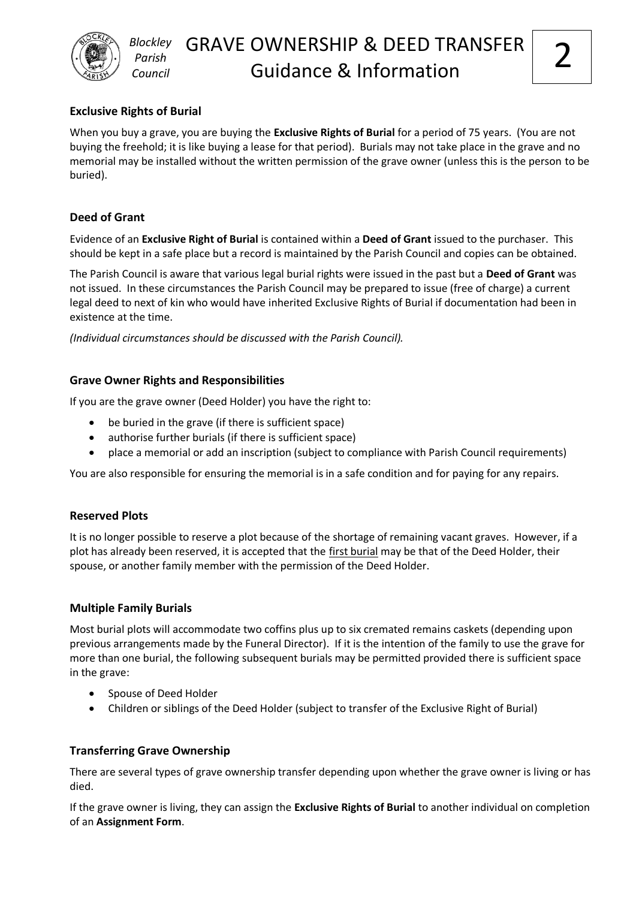

# **Exclusive Rights of Burial**

*Blockley Parish Council*

When you buy a grave, you are buying the **Exclusive Rights of Burial** for a period of 75 years. (You are not buying the freehold; it is like buying a lease for that period). Burials may not take place in the grave and no memorial may be installed without the written permission of the grave owner (unless this is the person to be buried).

# **Deed of Grant**

Evidence of an **Exclusive Right of Burial** is contained within a **Deed of Grant** issued to the purchaser. This should be kept in a safe place but a record is maintained by the Parish Council and copies can be obtained.

The Parish Council is aware that various legal burial rights were issued in the past but a **Deed of Grant** was not issued. In these circumstances the Parish Council may be prepared to issue (free of charge) a current legal deed to next of kin who would have inherited Exclusive Rights of Burial if documentation had been in existence at the time.

*(Individual circumstances should be discussed with the Parish Council).*

# **Grave Owner Rights and Responsibilities**

If you are the grave owner (Deed Holder) you have the right to:

- be buried in the grave (if there is sufficient space)
- authorise further burials (if there is sufficient space)
- place a memorial or add an inscription (subject to compliance with Parish Council requirements)

You are also responsible for ensuring the memorial is in a safe condition and for paying for any repairs.

# **Reserved Plots**

It is no longer possible to reserve a plot because of the shortage of remaining vacant graves. However, if a plot has already been reserved, it is accepted that the first burial may be that of the Deed Holder, their spouse, or another family member with the permission of the Deed Holder.

# **Multiple Family Burials**

Most burial plots will accommodate two coffins plus up to six cremated remains caskets (depending upon previous arrangements made by the Funeral Director). If it is the intention of the family to use the grave for more than one burial, the following subsequent burials may be permitted provided there is sufficient space in the grave:

- Spouse of Deed Holder
- Children or siblings of the Deed Holder (subject to transfer of the Exclusive Right of Burial)

# **Transferring Grave Ownership**

There are several types of grave ownership transfer depending upon whether the grave owner is living or has died.

If the grave owner is living, they can assign the **Exclusive Rights of Burial** to another individual on completion of an **Assignment Form**.